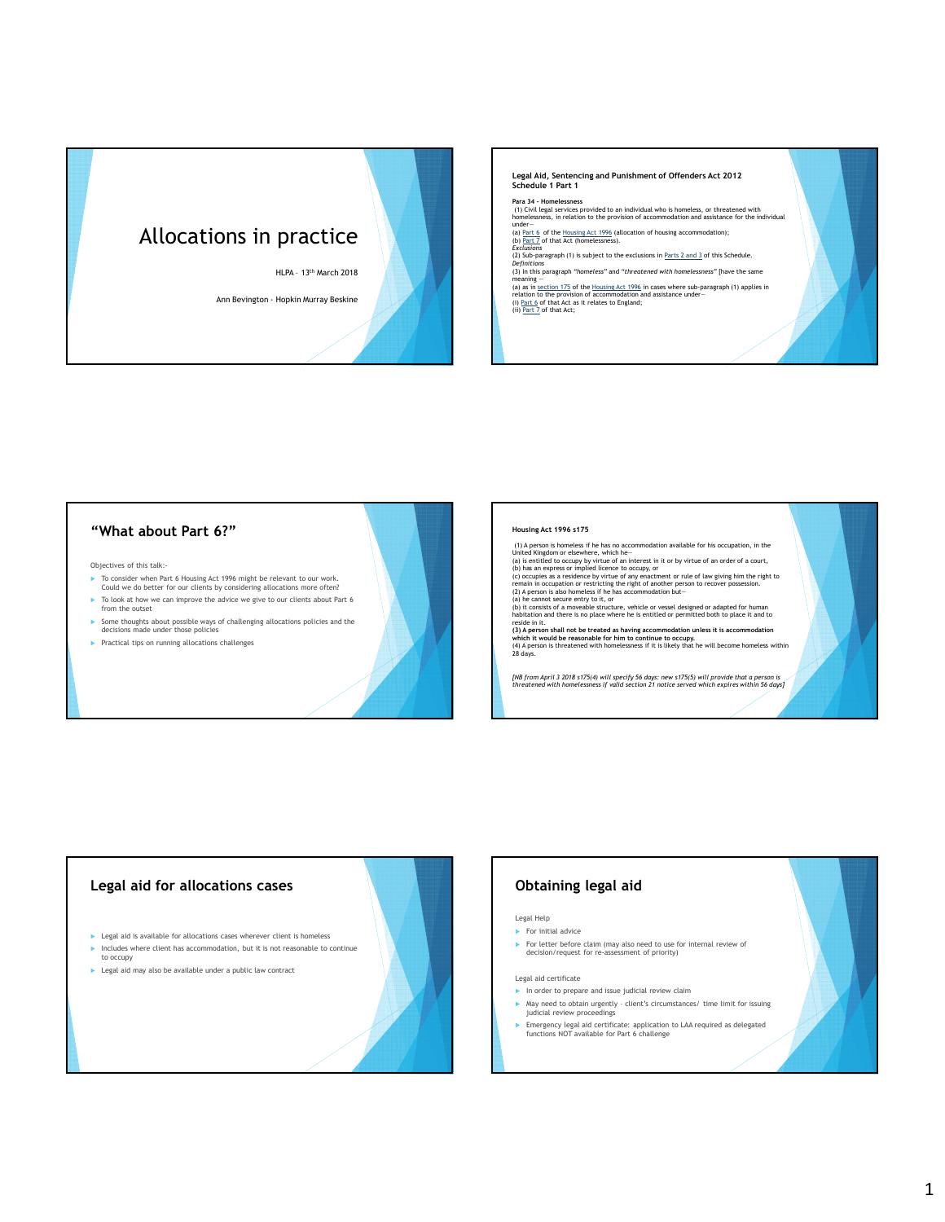# Allocations in practice

HLPA – 13th March 2018

Ann Bevington - Hopkin Murray Beskine

### **Legal Aid, Sentencing and Punishment of Offenders Act 2012 Schedule 1 Part 1**

**Para 34 - Homelessness** (1) Civil legal services provided to an individual who is homeless, or threatened with homelessness, in relation to the provision of accommodation and assistance for the individual

under—<br>(a) <u>Part 6</u> of the <u>Housing Act 1996</u> (allocation of housing accommodation);<br>(b) <u>Part 7</u> of that Act (homelessness).

*Exclusions* (2) Sub-paragraph (1) is subject to the exclusions in Parts 2 and 3 of this Schedule. *Definitions*

(3) In this paragraph *"homeless"* and *"threatened with homelessness"* [have the same meaning —<br>(a) as in <u>section 175</u> of the <u>Housing Act 1996</u> in cases where sub-paragraph (1) applies in<br>relation to the provision of accommodation and assistance under—<br>(ii) Par<u>t 7</u> of that Act; sit relates to England;<br>(i

### **"What about Part 6?"**

Objectives of this talk:-

- To consider when Part 6 Housing Act 1996 might be relevant to our work. Could we do better for our clients by considering allocations more often?
- ► To look at how we can improve the advice we give to our clients about Part 6 from the outset
- $\blacktriangleright$  Some thoughts about possible ways of challenging allocations policies and the decisions made under those policies
- $\blacktriangleright$  Practical tips on running allocations challenges

### **Housing Act 1996 s175**

(1) A person is homeless if he has no accommodation available for his occupation, in the United Kingdom or elsewhere, which he-<br>United Kingdom or elsewhere, which he-<br>(a) is entitled to occupy by virtue of an interest in i

remain in occupation or restricting the right of another person to recover possession.<br>(2) A person is also homeless if he has accommodation but—<br>(b) it consists of a moveable structure, vehicle or vessel designed or adapt which it<br>(4) A per:<br>28 days.

*[NB from April 3 2018 s175(4) will specify 56 days: new s175(5) will provide that a person is threatened with homelessness if valid section 21 notice served which expires within 56 days]*



# **Obtaining legal aid**

### Legal Help

For initial advice

▶ For letter before claim (may also need to use for internal review of decision/request for re-assessment of priority)

### Legal aid certificate

- $\blacktriangleright$  In order to prepare and issue judicial review claim
- May need to obtain urgently client's circumstances/ time limit for issuing judicial review proceedings
- Emergency legal aid certificate: application to LAA required as delegated functions NOT available for Part 6 challenge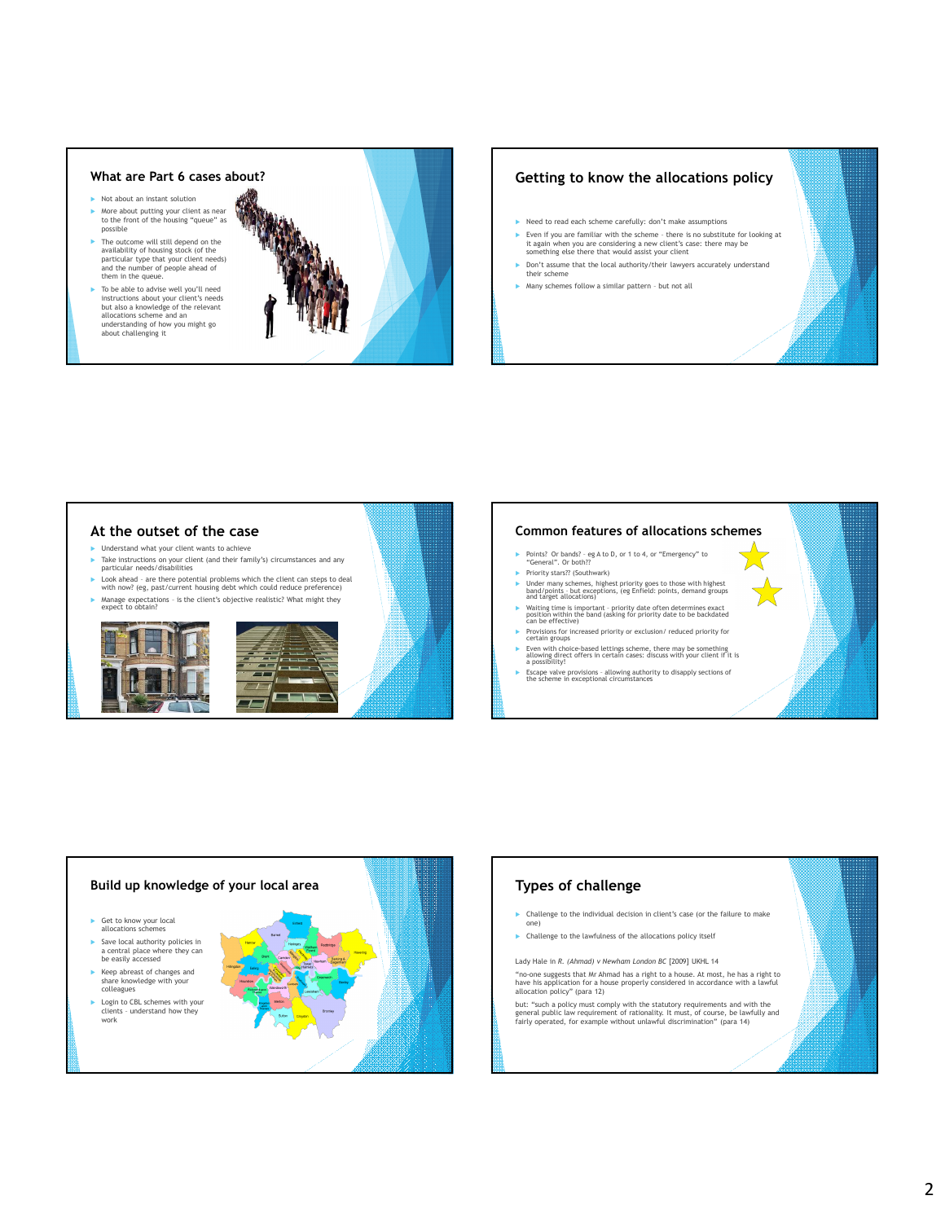### **What are Part 6 cases about?**

- Not about an instant solution More about putting your client as near to the front of the housing "queue" as possible
- The outcome will still depend on the availability of housing stock (of the particular type that your client needs) and the number of people ahead of them in the queue.
- To be able to advise well you'll need instructions about your client's needs but also a knowledge of the relevant allocations scheme and an understanding of how you might go about challenging it



# **Getting to know the allocations policy**

- Need to read each scheme carefully: don't make assumptions
- Even if you are familiar with the scheme there is no substitute for looking at it again when you are considering a new client's case: there may be something else there that would assist your client
- Don't assume that the local authority/their lawyers accurately understand their scheme
- Many schemes follow a similar pattern but not all

# **At the outset of the case**

- $\blacktriangleright$  Understand what your client wants to achieve Take instructions on your client (and their family's) circumstances and any particular needs/disabilities
- ► Look ahead are there potential problems which the client can steps to deal with now? (eg, past/current housing debt which could reduce preference)
- Manage expectations is the client's objective realistic? What might they expect to obtain?







### **Common features of allocations schemes**

- ▶ Points? Or bands? eg A to D, or 1 to 4, or "Emergency" to "General". Or both??
- Priority stars?? (Southwark)
- Under many schemes, highest priority goes to those with highest band/points but exceptions, (eg Enfield: points, demand groups and target allocations)
- Waiting time is important priority date often determines exact position within the band (asking for priority date to be backdated can be effective)
- Provisions for increased priority or exclusion/ reduced priority for certain groups Even with choice-based lettings scheme, there may be something allowing direct offers in certain cases: discuss with your client if it is a possibility!
- Escape valve provisions allowing authority to disapply sections of the scheme in exceptional circumstances



# **Types of challenge** Challenge to the individual decision in client's case (or the failure to make

- one)
- $\blacktriangleright$  Challenge to the lawfulness of the allocations policy itself

Lady Hale in *R. (Ahmad) v Newham London BC* [2009] UKHL 14

"no-one suggests that Mr Ahmad has a right to a house. At most, he has a right to have his application for a house properly considered in accordance with a lawful allocation policy" (para 12)

but: "such a policy must comply with the statutory requirements and with the general public law requirement of rationality. It must, of course, be lawfully and fairly operated, for example without unlawful discrimination" (para 14)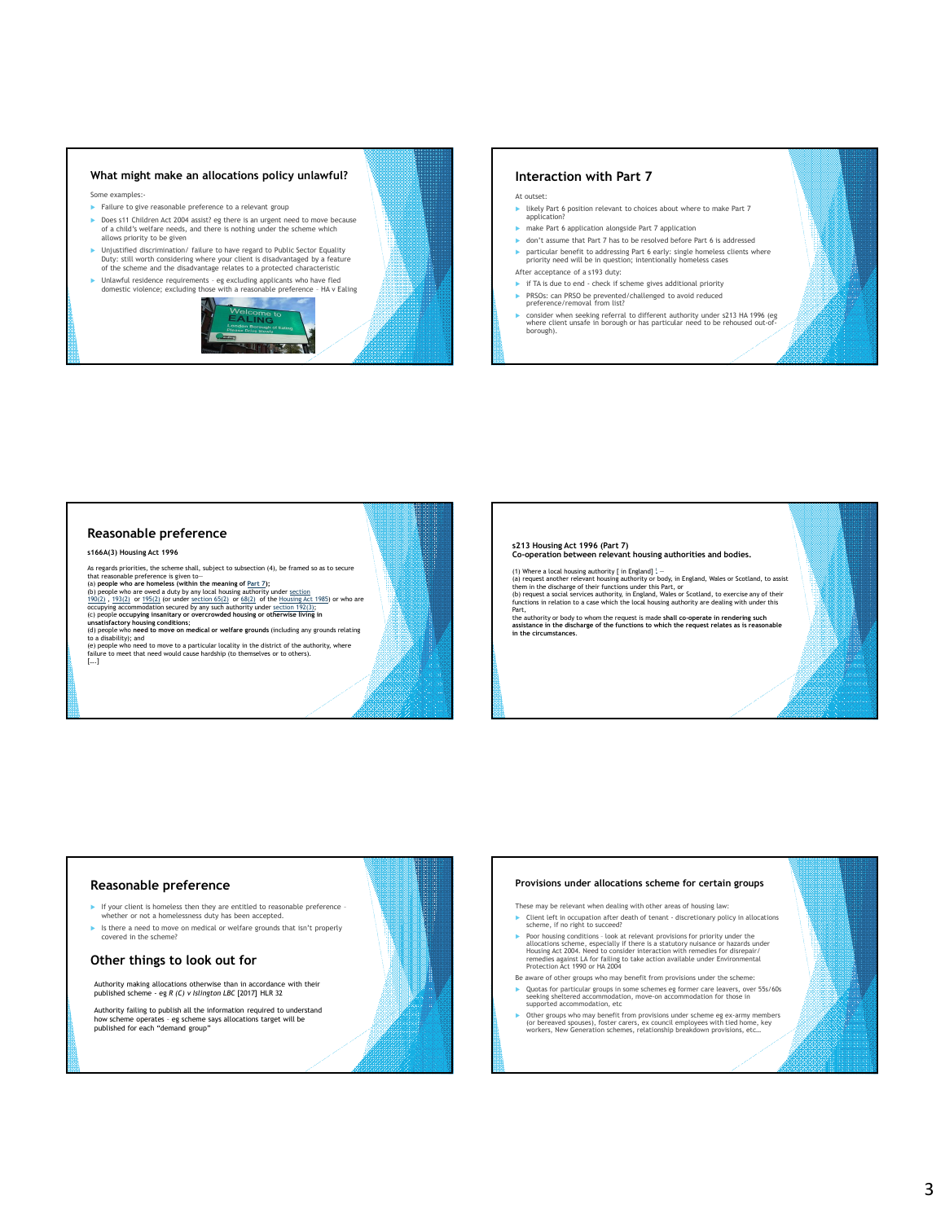# **What might make an allocations policy unlawful?**

Some examples:-

- Failure to give reasonable preference to a relevant group
- ▶ Does s11 Children Act 2004 assist? eg there is an urgent need to move because of a child's welfare needs, and there is nothing under the scheme which allows priority to be given
- ► Unjustified discrimination/ failure to have regard to Public Sector Equality<br>Duty: still worth considering where your client is disadvantaged by a feature<br>of the scheme and the disadvantage relates to a protected charac
- Unlawful residence requirements eg excluding applicants who have fled domestic violence; excluding those with a reasonable preference HA v Ealing



### **Interaction with Part 7**

- At outset: likely Part 6 position relevant to choices about where to make Part 7 application?
- make Part 6 application alongside Part 7 application
- don't assume that Part 7 has to be resolved before Part 6 is addressed particular benefit to addressing Part 6 early: single homeless clients where priority need will be in question; intentionally homeless cases After acceptance of a s193 duty:
- 
- if TA is due to end check if scheme gives additional priority ▶ PRSOs: can PRSO be prevented/challenged to avoid reduced preference/removal from list?
- consider when seeking referral to different authority under s213 HA 1996 (eg where client unsafe in borough or has particular need to be rehoused out-ofborough).

### **Reasonable preference**

**s166A(3) Housing Act 1996**

As regards priorities, the scheme shall, subject to subsection  $(4)$ , be framed so as to secure that reasonable preference is given to $-$ 

that reasonable preference is given to<br>
(a) people who are homeless (within the meaning of <u>Part 7);</u><br>
(b) people who are bowed a duty by any local housing authority under <u>section</u><br>
(19)(2), 193(2) or 195(2) (or under <u>s</u>

**s213 Housing Act 1996 (Part 7) Co-operation between relevant housing authorities and bodies.**

(1) Where a local housing authority [ in England] <sup>1</sup>-<br>(a) request another relevant housing authority or body, in England, Wales or Scotland, to assist<br>them in the discharge of their functions under this Part, or<br>(b) reque

the authority or body to whom the request is made **shall co-operate in rendering such assistance in the discharge of the functions to which the request relates as is reasonable in the circumstances**.

### **Reasonable preference**

- If your client is homeless then they are entitled to reasonable preference whether or not a homelessness duty has been accepted.
- Is there a need to move on medical or welfare grounds that isn't properly covered in the scheme?

### **Other things to look out for**

Authority making allocations otherwise than in accordance with their published scheme - eg *R (C) v Islington LBC* [2017] HLR 32

Authority failing to publish all the information required to understand<br>how scheme operates - eg scheme says allocations target will be<br>published for each "demand group"

# **Provisions under allocations scheme for certain groups**

These may be relevant when dealing with other areas of housing law:

- Client left in occupation after death of tenant discretionary policy in allocations scheme, if no right to succeed?
- ► Poor housing conditions look at relevant provisions for priority under the<br>allocations scheme, especially if there is a statutory nuisance or hazards under<br>Housing Act 2004. Need to consider interaction with remedies remedies against LA for failing to take action available under Environmental Protection Act 1990 or HA 2004
- Be aware of other groups who may benefit from provisions under the scheme: Quotas for particular groups in some schemes eg former care leavers, over 55s/60s seeking sheltered accommodation, move-on accommodation for those in supported accommodation, etc
- ▶ Other groups who may benefit from provisions under scheme eg ex-army members<br>(or bereaved spouses), foster carers, ex council employees with tied home, key<br>workers, New Generation schemes, relationship breakdown provisi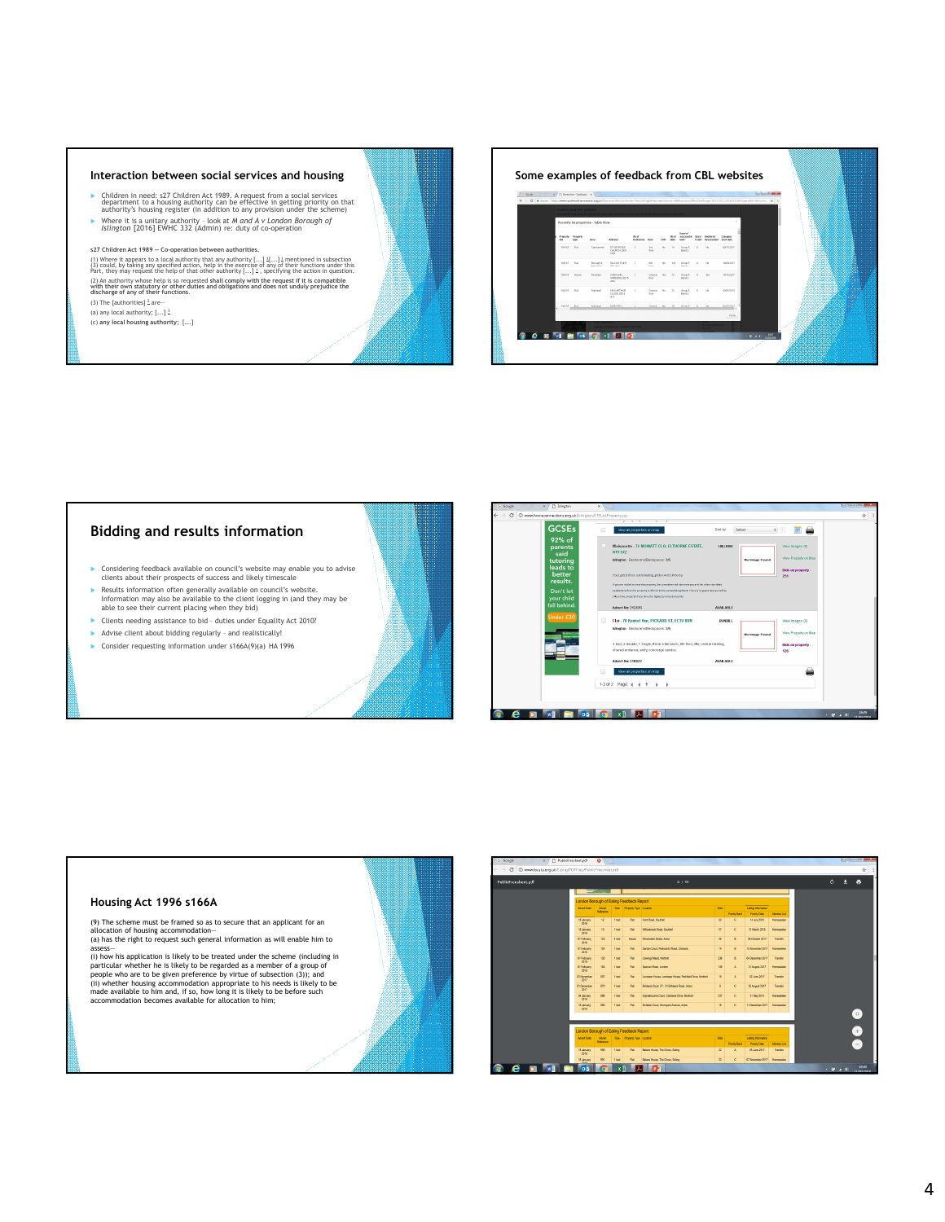### **Interaction between social services and housing**

- ► Children in need: s27 Children Act 1989. A request from a social services<br>department to a housing authority can be effective in getting priority on that<br>authority's housing register (in addition to any provision under t
- Where it is a unitary authority look at *M and A v London Borough of Islington* [2016] EWHC 332 (Admin) re: duty of co-operation

### **s27 Children Act 1989 — Co-operation between authorities.**

(1) Where it appears to a local authority that any authority [...] 1[...] 1 mentioned in subsection<br>(3) could, by taking any specified action, help in the exercise of any of their functions under this<br>Part, they may reques (2) An authority whose help is so requested shall comply with the request if it is compatible<br>with their own statutory or other duties and obligations and does not unduly prejudice the<br>discharge of any of their functions.<br>

(a) any local authority; [...] <sup>3</sup> (c) **any local housing authority**; [….]

**Some examples of feedback from CBL websites**



# **Bidding and results information**

- Considering feedback available on council's website may enable you to advise clients about their prospects of success and likely timescale
- Results information often generally available on council's website. Information may also be available to the client logging in (and they may be able to see their current placing when they bid)
- Clients needing assistance to bid duties under Equality Act 2010?
- Advise client about bidding regularly and realistically!
- Consider requesting information under s166A(9)(a) HA 1996





| PublicFreesheet.pdf |                                          | 8 / 18             |                  |                              |                                                           |                           |                       |                      |                    |  | $\circ$ | a<br>а        |
|---------------------|------------------------------------------|--------------------|------------------|------------------------------|-----------------------------------------------------------|---------------------------|-----------------------|----------------------|--------------------|--|---------|---------------|
|                     |                                          | --                 |                  |                              |                                                           |                           |                       |                      |                    |  |         |               |
|                     | London Borough of Ealing Feedback Report |                    |                  |                              |                                                           |                           |                       |                      |                    |  |         |               |
|                     | Afret Date                               | Afret<br>Reference |                  | Sta Process Type Location    |                                                           | 86                        |                       | Letting Information  |                    |  |         |               |
|                     |                                          |                    |                  |                              |                                                           |                           | <b>Printly Band</b>   | Priority Date        | Monter List        |  |         |               |
|                     | 18 January<br>2011                       | 12                 | 1 bed            | Fist                         | Hunt Road, Southall                                       | 50 <sub>1</sub>           | c.                    | 14 July 2015         | Homeseeker         |  |         |               |
|                     | 18 January<br>2018                       | 13                 | 1 bed            | <b>FM</b>                    | Wilcolmsk Real, Southall                                  | $\mathbb{R}^2$            | c.                    | 31 March 2015        | Homeseeker         |  |         |               |
|                     | 01 February<br>2011                      | 122                | 4 bed            | House                        | Wechester Street, Acton                                   | 25                        | $\theta$              | 06 October 2017      | Transfer           |  |         |               |
|                     | <b>01 February</b><br>2018               | 124                | 1 <sub>bel</sub> | Fut                          | Garden Court, Rothschild Road, Chiawidi.                  | 14                        | $\theta$              | 15 November 2017     | Homeseeker         |  |         |               |
|                     | 01 February<br>2011                      | 122                | 1 <sub>bed</sub> | Fat                          | Cowings Mead, Northolt                                    | 238                       | $\mathbf{R}$          | Oil December 2017    | Transfer           |  |         |               |
|                     | <b>01 February</b><br>2018               | 182                | 1668             | Fer                          | Spencer Road, London                                      | 139                       | $\mathbf{A}$          | 31 August 2017       | Homeseeker         |  |         |               |
|                     | 23 November<br>2017                      | 657                | 1 bed            | <b>Fat</b>                   | Landseer House, Landseer House, Parkfield Drive, Northolt | 13                        | $\mathbf{A}$          | 02 June 2017         | Transfer           |  |         |               |
|                     | 21 December<br>2017                      | 872                | 1 bed            | Fat                          | Bridaok Court, 27 - 31 Bridaok Road, Acton                | ٠                         | c.                    | 25 August 2017       | Transfer           |  |         |               |
|                     | 04 January<br>2018                       | 889                | 1 bed            | Fat.                         | Glyndebourne Court, Carberra Drive, Northolt              | 337                       | $\circ$               | 31 May 2013          | <b>Homeseeker</b>  |  |         |               |
|                     | 18 January<br>2018                       | 985                | 1 bed            | <b>Fat</b>                   | Shilaker Court, Entreword Avenue, Actory                  | 15 <sub>1</sub>           | c.                    | 11 December 2017     | <b>Homeseeker</b>  |  |         | (#)           |
|                     |                                          |                    |                  |                              |                                                           |                           |                       |                      |                    |  |         |               |
|                     | London Borough of Ealing Feedback Report |                    |                  |                              |                                                           |                           |                       |                      |                    |  |         | $+$           |
|                     | <b>Advert Date</b>                       | Atlet              |                  | Say Property Type   Location |                                                           | Box                       |                       | Letting Information  |                    |  |         |               |
|                     |                                          | <b>Belizzaye</b>   |                  |                              |                                                           |                           | <b>Priority Earld</b> | <b>Priority Date</b> | <b>Member List</b> |  |         | $\frac{1}{2}$ |
|                     | 18 January<br>2018                       | 990                | 1164             | Fet                          | Bakers House, The Grove, Ealing                           | $\boldsymbol{\mathit{n}}$ | $\Delta$              | 05 June 2017         | Transfer           |  |         |               |
|                     | 18 January<br>w.                         | 991                | 1 bed            | Fat                          | Bakers House, The Grove, Eating                           | 22                        | $\circ$               | 07 November 2017     | Homeseeker         |  |         |               |